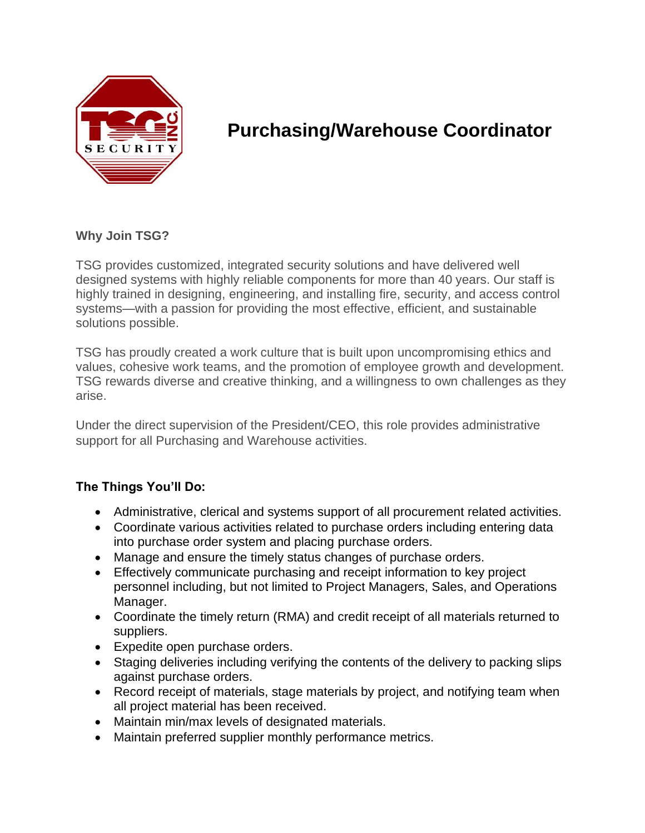

# **Purchasing/Warehouse Coordinator**

## **Why Join TSG?**

TSG provides customized, integrated security solutions and have delivered well designed systems with highly reliable components for more than 40 years. Our staff is highly trained in designing, engineering, and installing fire, security, and access control systems—with a passion for providing the most effective, efficient, and sustainable solutions possible.

TSG has proudly created a work culture that is built upon uncompromising ethics and values, cohesive work teams, and the promotion of employee growth and development. TSG rewards diverse and creative thinking, and a willingness to own challenges as they arise.

Under the direct supervision of the President/CEO, this role provides administrative support for all Purchasing and Warehouse activities.

### **The Things You'll Do:**

- Administrative, clerical and systems support of all procurement related activities.
- Coordinate various activities related to purchase orders including entering data into purchase order system and placing purchase orders.
- Manage and ensure the timely status changes of purchase orders.
- Effectively communicate purchasing and receipt information to key project personnel including, but not limited to Project Managers, Sales, and Operations Manager.
- Coordinate the timely return (RMA) and credit receipt of all materials returned to suppliers.
- Expedite open purchase orders.
- Staging deliveries including verifying the contents of the delivery to packing slips against purchase orders.
- Record receipt of materials, stage materials by project, and notifying team when all project material has been received.
- Maintain min/max levels of designated materials.
- Maintain preferred supplier monthly performance metrics.